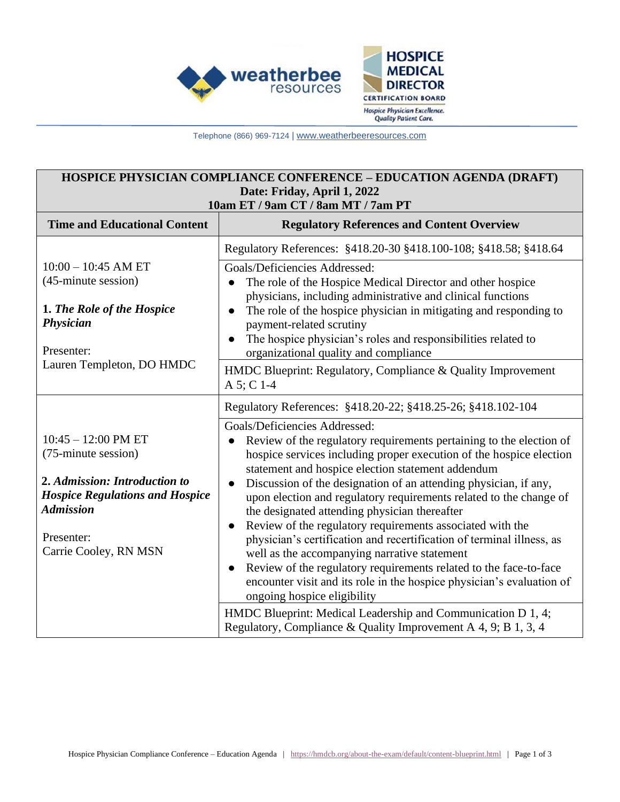

Telephone (866) 969-7124 | [www.weatherbeeresources.com](http://www.weatherbeeresources.com/)

## **HOSPICE PHYSICIAN COMPLIANCE CONFERENCE – EDUCATION AGENDA (DRAFT) Date: Friday, April 1, 2022 10am ET / 9am CT / 8am MT / 7am PT**

| <b>Time and Educational Content</b>                                                                                                                                                | <b>Regulatory References and Content Overview</b>                                                                                                                                                                                                                                                                                                                                                                                                                                                                                                                                                                                                                                                                                                                                                                                     |
|------------------------------------------------------------------------------------------------------------------------------------------------------------------------------------|---------------------------------------------------------------------------------------------------------------------------------------------------------------------------------------------------------------------------------------------------------------------------------------------------------------------------------------------------------------------------------------------------------------------------------------------------------------------------------------------------------------------------------------------------------------------------------------------------------------------------------------------------------------------------------------------------------------------------------------------------------------------------------------------------------------------------------------|
|                                                                                                                                                                                    | Regulatory References: \$418.20-30 \$418.100-108; \$418.58; \$418.64                                                                                                                                                                                                                                                                                                                                                                                                                                                                                                                                                                                                                                                                                                                                                                  |
| $10:00 - 10:45$ AM ET<br>(45-minute session)<br>1. The Role of the Hospice<br>Physician<br>Presenter:                                                                              | Goals/Deficiencies Addressed:<br>The role of the Hospice Medical Director and other hospice<br>physicians, including administrative and clinical functions<br>The role of the hospice physician in mitigating and responding to<br>$\bullet$<br>payment-related scrutiny<br>The hospice physician's roles and responsibilities related to<br>$\bullet$<br>organizational quality and compliance                                                                                                                                                                                                                                                                                                                                                                                                                                       |
| Lauren Templeton, DO HMDC                                                                                                                                                          | HMDC Blueprint: Regulatory, Compliance & Quality Improvement<br>A 5; C 1-4                                                                                                                                                                                                                                                                                                                                                                                                                                                                                                                                                                                                                                                                                                                                                            |
|                                                                                                                                                                                    | Regulatory References: §418.20-22; §418.25-26; §418.102-104                                                                                                                                                                                                                                                                                                                                                                                                                                                                                                                                                                                                                                                                                                                                                                           |
| $10:45 - 12:00$ PM ET<br>(75-minute session)<br>2. Admission: Introduction to<br><b>Hospice Regulations and Hospice</b><br><b>Admission</b><br>Presenter:<br>Carrie Cooley, RN MSN | Goals/Deficiencies Addressed:<br>Review of the regulatory requirements pertaining to the election of<br>hospice services including proper execution of the hospice election<br>statement and hospice election statement addendum<br>Discussion of the designation of an attending physician, if any,<br>$\bullet$<br>upon election and regulatory requirements related to the change of<br>the designated attending physician thereafter<br>Review of the regulatory requirements associated with the<br>$\bullet$<br>physician's certification and recertification of terminal illness, as<br>well as the accompanying narrative statement<br>Review of the regulatory requirements related to the face-to-face<br>$\bullet$<br>encounter visit and its role in the hospice physician's evaluation of<br>ongoing hospice eligibility |
|                                                                                                                                                                                    | HMDC Blueprint: Medical Leadership and Communication D 1, 4;<br>Regulatory, Compliance & Quality Improvement A 4, 9; B 1, 3, 4                                                                                                                                                                                                                                                                                                                                                                                                                                                                                                                                                                                                                                                                                                        |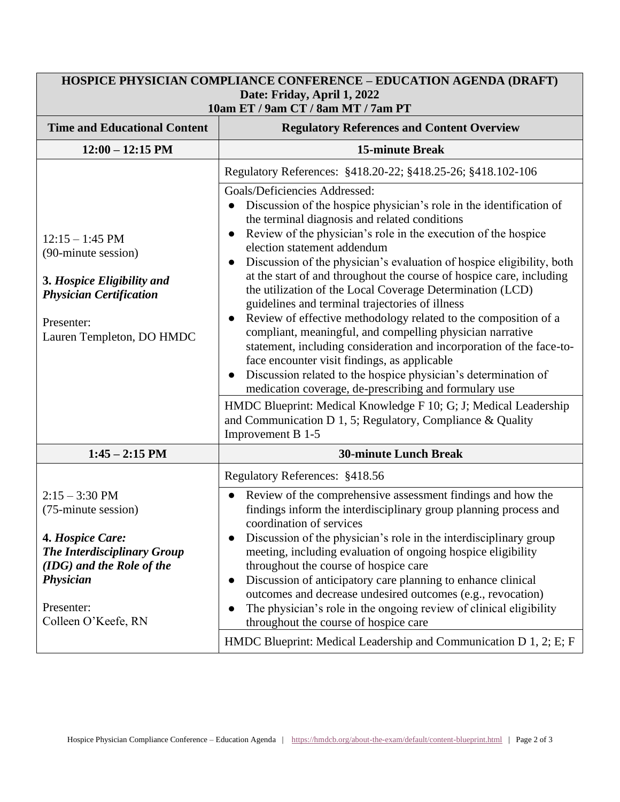| <b>HOSPICE PHYSICIAN COMPLIANCE CONFERENCE - EDUCATION AGENDA (DRAFT)</b><br>Date: Friday, April 1, 2022<br>10am ET / 9am CT / 8am MT / 7am PT                                                  |                                                                                                                                                                                                                                                                                                                                                                                                                                                                                                                                                                                                                                                                                                                                                                                                                                                                                                                                                                                                                                                                                                                                                                                      |  |
|-------------------------------------------------------------------------------------------------------------------------------------------------------------------------------------------------|--------------------------------------------------------------------------------------------------------------------------------------------------------------------------------------------------------------------------------------------------------------------------------------------------------------------------------------------------------------------------------------------------------------------------------------------------------------------------------------------------------------------------------------------------------------------------------------------------------------------------------------------------------------------------------------------------------------------------------------------------------------------------------------------------------------------------------------------------------------------------------------------------------------------------------------------------------------------------------------------------------------------------------------------------------------------------------------------------------------------------------------------------------------------------------------|--|
| <b>Time and Educational Content</b>                                                                                                                                                             | <b>Regulatory References and Content Overview</b>                                                                                                                                                                                                                                                                                                                                                                                                                                                                                                                                                                                                                                                                                                                                                                                                                                                                                                                                                                                                                                                                                                                                    |  |
| $12:00 - 12:15$ PM                                                                                                                                                                              | <b>15-minute Break</b>                                                                                                                                                                                                                                                                                                                                                                                                                                                                                                                                                                                                                                                                                                                                                                                                                                                                                                                                                                                                                                                                                                                                                               |  |
| $12:15 - 1:45$ PM<br>(90-minute session)<br>3. Hospice Eligibility and<br><b>Physician Certification</b><br>Presenter:<br>Lauren Templeton, DO HMDC                                             | Regulatory References: §418.20-22; §418.25-26; §418.102-106<br>Goals/Deficiencies Addressed:<br>Discussion of the hospice physician's role in the identification of<br>the terminal diagnosis and related conditions<br>Review of the physician's role in the execution of the hospice<br>$\bullet$<br>election statement addendum<br>Discussion of the physician's evaluation of hospice eligibility, both<br>$\bullet$<br>at the start of and throughout the course of hospice care, including<br>the utilization of the Local Coverage Determination (LCD)<br>guidelines and terminal trajectories of illness<br>Review of effective methodology related to the composition of a<br>$\bullet$<br>compliant, meaningful, and compelling physician narrative<br>statement, including consideration and incorporation of the face-to-<br>face encounter visit findings, as applicable<br>Discussion related to the hospice physician's determination of<br>$\bullet$<br>medication coverage, de-prescribing and formulary use<br>HMDC Blueprint: Medical Knowledge F 10; G; J; Medical Leadership<br>and Communication D 1, 5; Regulatory, Compliance & Quality<br>Improvement B 1-5 |  |
| $1:45 - 2:15$ PM                                                                                                                                                                                | <b>30-minute Lunch Break</b>                                                                                                                                                                                                                                                                                                                                                                                                                                                                                                                                                                                                                                                                                                                                                                                                                                                                                                                                                                                                                                                                                                                                                         |  |
|                                                                                                                                                                                                 | Regulatory References: §418.56                                                                                                                                                                                                                                                                                                                                                                                                                                                                                                                                                                                                                                                                                                                                                                                                                                                                                                                                                                                                                                                                                                                                                       |  |
| $2:15 - 3:30 \text{ PM}$<br>(75-minute session)<br>4. Hospice Care:<br><b>The Interdisciplinary Group</b><br>(IDG) and the Role of the<br><b>Physician</b><br>Presenter:<br>Colleen O'Keefe, RN | Review of the comprehensive assessment findings and how the<br>findings inform the interdisciplinary group planning process and<br>coordination of services<br>Discussion of the physician's role in the interdisciplinary group<br>meeting, including evaluation of ongoing hospice eligibility<br>throughout the course of hospice care<br>Discussion of anticipatory care planning to enhance clinical<br>$\bullet$<br>outcomes and decrease undesired outcomes (e.g., revocation)<br>The physician's role in the ongoing review of clinical eligibility<br>$\bullet$<br>throughout the course of hospice care<br>HMDC Blueprint: Medical Leadership and Communication D 1, 2; E; F                                                                                                                                                                                                                                                                                                                                                                                                                                                                                               |  |
|                                                                                                                                                                                                 |                                                                                                                                                                                                                                                                                                                                                                                                                                                                                                                                                                                                                                                                                                                                                                                                                                                                                                                                                                                                                                                                                                                                                                                      |  |